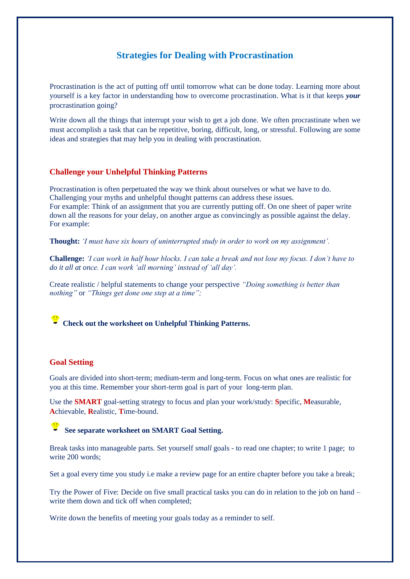# **Strategies for Dealing with Procrastination**

Procrastination is the act of putting off until tomorrow what can be done today. Learning more about yourself is a key factor in understanding how to overcome procrastination. What is it that keeps *your* procrastination going?

Write down all the things that interrupt your wish to get a job done. We often procrastinate when we must accomplish a task that can be repetitive, boring, difficult, long, or stressful. Following are some ideas and strategies that may help you in dealing with procrastination.

### **Challenge your Unhelpful Thinking Patterns**

Procrastination is often perpetuated the way we think about ourselves or what we have to do. Challenging your myths and unhelpful thought patterns can address these issues. For example: Think of an assignment that you are currently putting off. On one sheet of paper write down all the reasons for your delay, on another argue as convincingly as possible against the delay. For example:

**Thought:** *'I must have six hours of uninterrupted study in order to work on my assignment'.*

**Challenge:** *'I can work in half hour blocks. I can take a break and not lose my focus. I don't have to do it all at once. I can work 'all morning' instead of 'all day'.*

Create realistic / helpful statements to change your perspective *"Doing something is better than nothing"* or *"Things get done one step at a time";*

### **Check out the worksheet on Unhelpful Thinking Patterns.**

#### **[Go](about:blank)al Setting**

[Goa](about:blank)ls are divided into short-term; medium-term and long-term. Focus on what ones are realistic for [you](about:blank) at this time. Remember your short-term goal is part of your long-term plan.

[Use](about:blank) the **SMART** goal-setting strategy to focus and plan your work/study: **S**pecific, **M**easurable, **A**chievable, **R**ealistic, **T**ime-bound.

#### **See separate worksheet on SMART Goal Setting.**

[Bre](about:blank)ak tasks into manageable parts. Set yourself *small* goals - to read one chapter; to write 1 page; to [writ](about:blank)e 200 words;

[Set](about:blank) a goal every time you study i.e make a review page for an entire chapter before you take a break;

[Try](about:blank) the Power of Five: Decide on five small practical tasks you can do in relation to the job on hand – [wri](about:blank)te them down and tick off when completed;

Write down the benefits of meeting your goals today as a reminder to self.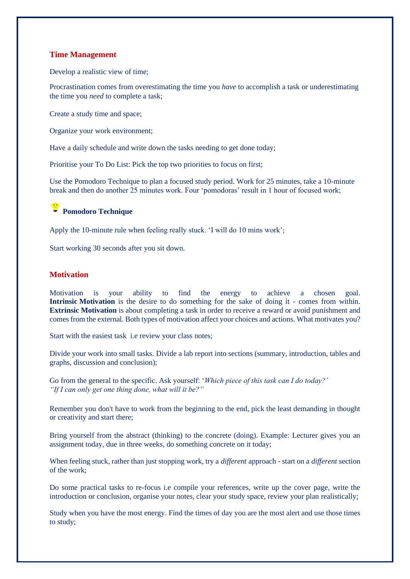### **Time Management**

Develop a realistic view of time;

Procrastination comes from overestimating the time you *have* to accomplish a task or underestimating the time you *need* to complete a task;

Create a study time and space;

Organize your work environment;

Have a daily schedule and write down the tasks needing to get done today;

Prioritise your To Do List: Pick the top two priorities to focus on first;

Use the Pomodoro Technique to plan a focused study period. Work for 25 minutes, take a 10-minute break and then do another 25 minutes work. Four 'pomodoras' result in 1 hour of focused work;

## **Pomodoro Technique**

[App](about:blank)ly the 10-minute rule when feeling really stuck. 'I will do 10 mins work';

[Star](about:blank)t working 30 seconds after you sit down.

### **[Mo](about:blank)tivation**

Motivation is your ability to find the energy to achieve a chosen goal. **Intrinsic Motivation** is the desire to do something for the sake of doing it - comes from within. **Extrinsic Motivation** is about completing a task in order to receive a reward or avoid punishment and comes from the external. Both types of motivation affect your choices and actions. What motivates you?

Start with the easiest task i.e review your class notes;

Divide your work into small tasks. Divide a lab report into sections (summary, introduction, tables and graphs, discussion and conclusion);

Go from the general to the specific. Ask yourself: '*Which piece of this task can I do today?' "If I can only get one thing done, what will it be?"*

Remember you don't have to work from the beginning to the end, pick the least demanding in thought or creativity and start there;

Bring yourself from the abstract (thinking) to the concrete (doing). Example: Lecturer gives you an assignment today, due in three weeks, do something concrete on it today;

When feeling stuck, rather than just stopping work, try a *different* approach - start on a *different* section of the work;

Do some practical tasks to re-focus i.e compile your references, write up the cover page, write the introduction or conclusion, organise your notes, clear your study space, review your plan realistically;

Study when you have the most energy. Find the times of day you are the most alert and use those times to study;